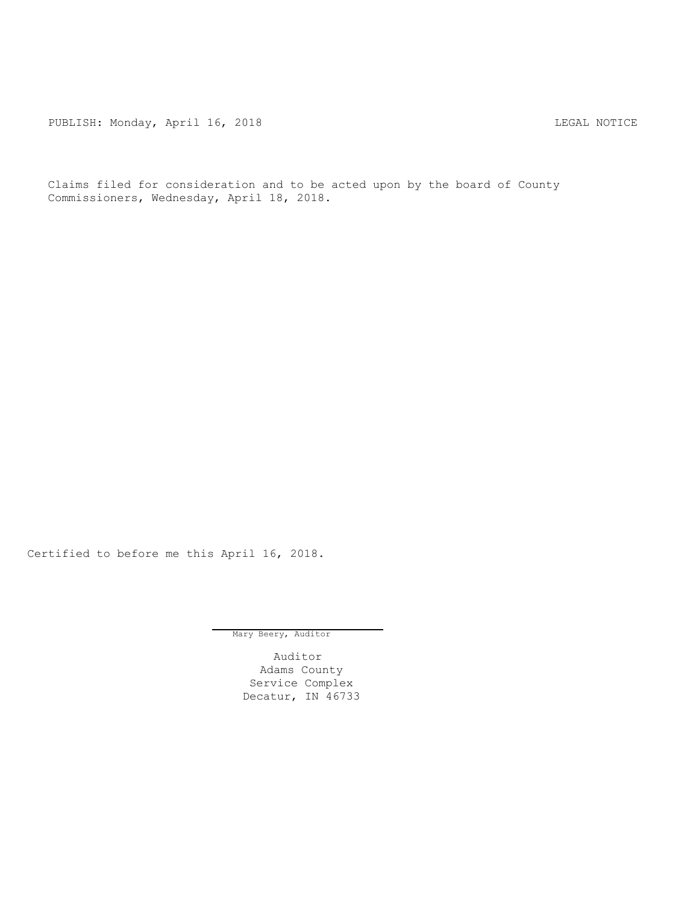PUBLISH: Monday, April 16, 2018 CHANGE CONSERVATION CONTRACT MOTICE

Claims filed for consideration and to be acted upon by the board of County Commissioners, Wednesday, April 18, 2018.

Certified to before me this April 16, 2018.

Mary Beery, Auditor

Auditor Adams County Service Complex Decatur, IN 46733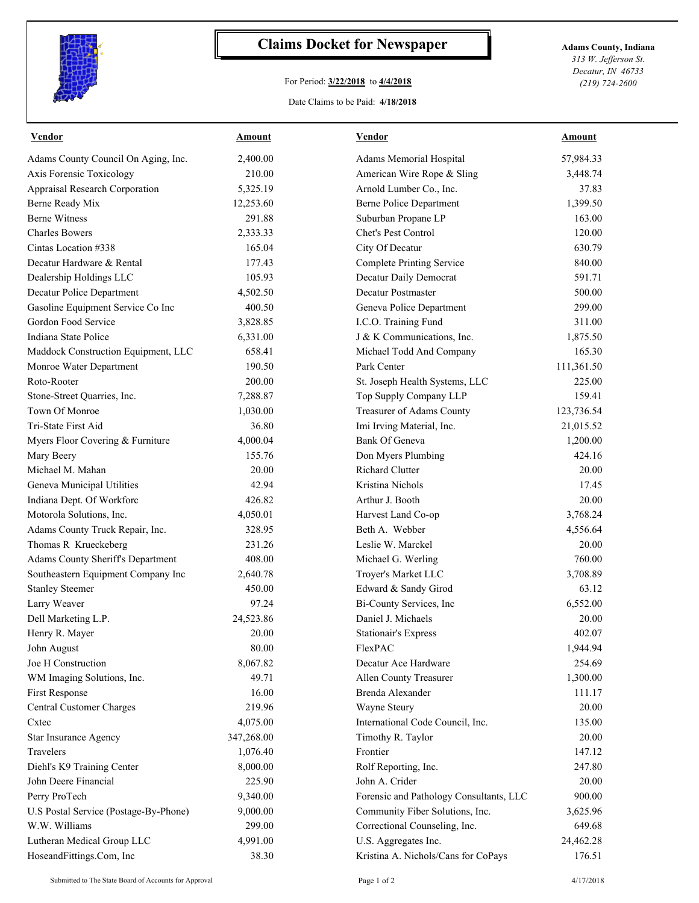

## **Claims Docket for Newspaper Adams County, Indiana**

## For Period: **3/22/2018** to **4/4/2018**

*313 W. Jefferson St. Decatur, IN 46733 (219) 724-2600*

## Date Claims to be Paid: **4/18/2018**

| <u>Vendor</u>                         | <b>Amount</b> | <u>Vendor</u>                           | <b>Amount</b> |
|---------------------------------------|---------------|-----------------------------------------|---------------|
| Adams County Council On Aging, Inc.   | 2,400.00      | Adams Memorial Hospital                 | 57,984.33     |
| Axis Forensic Toxicology              | 210.00        | American Wire Rope & Sling              | 3,448.74      |
| Appraisal Research Corporation        | 5,325.19      | Arnold Lumber Co., Inc.                 | 37.83         |
| Berne Ready Mix                       | 12,253.60     | <b>Berne Police Department</b>          | 1,399.50      |
| <b>Berne Witness</b>                  | 291.88        | Suburban Propane LP                     | 163.00        |
| <b>Charles Bowers</b>                 | 2,333.33      | Chet's Pest Control                     | 120.00        |
| Cintas Location #338                  | 165.04        | City Of Decatur                         | 630.79        |
| Decatur Hardware & Rental             | 177.43        | <b>Complete Printing Service</b>        | 840.00        |
| Dealership Holdings LLC               | 105.93        | Decatur Daily Democrat                  | 591.71        |
| Decatur Police Department             | 4,502.50      | Decatur Postmaster                      | 500.00        |
| Gasoline Equipment Service Co Inc     | 400.50        | Geneva Police Department                | 299.00        |
| Gordon Food Service                   | 3,828.85      | I.C.O. Training Fund                    | 311.00        |
| Indiana State Police                  | 6,331.00      | J & K Communications, Inc.              | 1,875.50      |
| Maddock Construction Equipment, LLC   | 658.41        | Michael Todd And Company                | 165.30        |
| Monroe Water Department               | 190.50        | Park Center                             | 111,361.50    |
| Roto-Rooter                           | 200.00        | St. Joseph Health Systems, LLC          | 225.00        |
| Stone-Street Quarries, Inc.           | 7,288.87      | Top Supply Company LLP                  | 159.41        |
| Town Of Monroe                        | 1,030.00      | Treasurer of Adams County               | 123,736.54    |
| Tri-State First Aid                   | 36.80         | Imi Irving Material, Inc.               | 21,015.52     |
| Myers Floor Covering & Furniture      | 4,000.04      | Bank Of Geneva                          | 1,200.00      |
| Mary Beery                            | 155.76        | Don Myers Plumbing                      | 424.16        |
| Michael M. Mahan                      | 20.00         | <b>Richard Clutter</b>                  | 20.00         |
| Geneva Municipal Utilities            | 42.94         | Kristina Nichols                        | 17.45         |
| Indiana Dept. Of Workforc             | 426.82        | Arthur J. Booth                         | 20.00         |
| Motorola Solutions, Inc.              | 4,050.01      | Harvest Land Co-op                      | 3,768.24      |
| Adams County Truck Repair, Inc.       | 328.95        | Beth A. Webber                          | 4,556.64      |
| Thomas R Krueckeberg                  | 231.26        | Leslie W. Marckel                       | 20.00         |
| Adams County Sheriff's Department     | 408.00        | Michael G. Werling                      | 760.00        |
| Southeastern Equipment Company Inc    | 2,640.78      | Troyer's Market LLC                     | 3,708.89      |
| <b>Stanley Steemer</b>                | 450.00        | Edward & Sandy Girod                    | 63.12         |
| Larry Weaver                          | 97.24         | Bi-County Services, Inc                 | 6,552.00      |
| Dell Marketing L.P.                   | 24,523.86     | Daniel J. Michaels                      | 20.00         |
| Henry R. Mayer                        | 20.00         | <b>Stationair's Express</b>             | 402.07        |
| John August                           | 80.00         | FlexPAC                                 | 1,944.94      |
| Joe H Construction                    | 8,067.82      | Decatur Ace Hardware                    | 254.69        |
| WM Imaging Solutions, Inc.            | 49.71         | Allen County Treasurer                  | 1,300.00      |
| First Response                        | 16.00         | Brenda Alexander                        | 111.17        |
| Central Customer Charges              | 219.96        | Wayne Steury                            | 20.00         |
| Cxtec                                 | 4,075.00      | International Code Council, Inc.        | 135.00        |
| Star Insurance Agency                 | 347,268.00    | Timothy R. Taylor                       | 20.00         |
| Travelers                             | 1,076.40      | Frontier                                | 147.12        |
| Diehl's K9 Training Center            | 8,000.00      | Rolf Reporting, Inc.                    | 247.80        |
| John Deere Financial                  | 225.90        | John A. Crider                          | 20.00         |
| Perry ProTech                         | 9,340.00      | Forensic and Pathology Consultants, LLC | 900.00        |
| U.S Postal Service (Postage-By-Phone) | 9,000.00      | Community Fiber Solutions, Inc.         | 3,625.96      |
| W.W. Williams                         | 299.00        | Correctional Counseling, Inc.           | 649.68        |
| Lutheran Medical Group LLC            | 4,991.00      | U.S. Aggregates Inc.                    | 24,462.28     |
| HoseandFittings.Com, Inc              | 38.30         | Kristina A. Nichols/Cans for CoPays     | 176.51        |
|                                       |               |                                         |               |